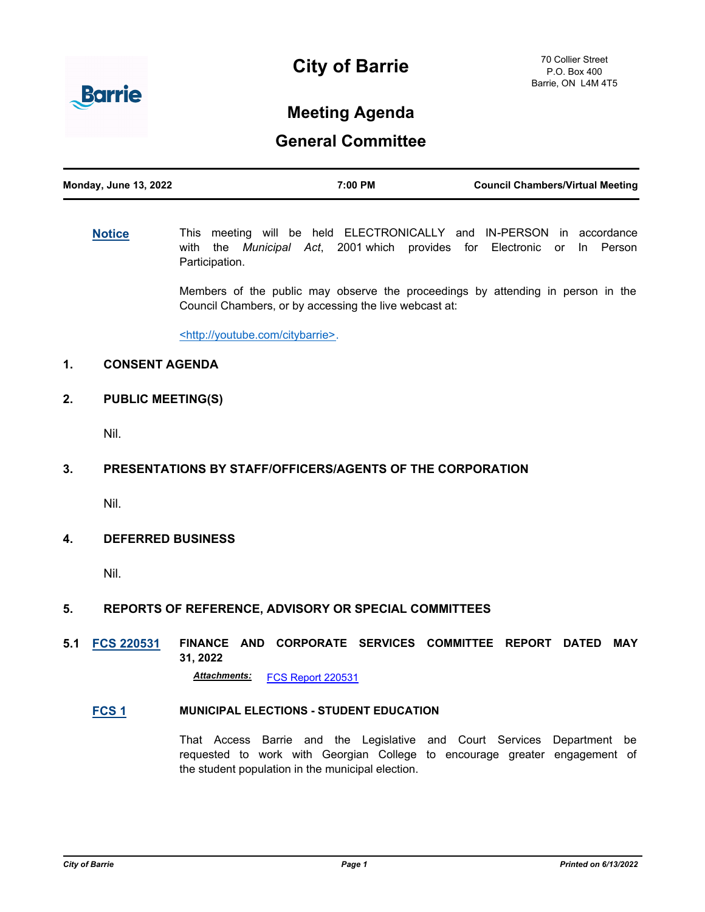



# **Meeting Agenda**

## **General Committee**

| <b>Monday, June 13, 2022</b> | 7:00 PM | <b>Council Chambers/Virtual Meeting</b> |
|------------------------------|---------|-----------------------------------------|
|                              |         |                                         |

**[Notice](http://barrie.ca.legistar.com/gateway.aspx?m=l&id=/matter.aspx?key=46586)** This meeting will be held ELECTRONICALLY and IN-PERSON in accordance with the *Municipal Act*, 2001 which provides for Electronic or In Person Participation.

> Members of the public may observe the proceedings by attending in person in the Council Chambers, or by accessing the live webcast at:

<http://youtube.com/citybarrie>.

## **1. CONSENT AGENDA**

**2. PUBLIC MEETING(S)**

Nil.

## **3. PRESENTATIONS BY STAFF/OFFICERS/AGENTS OF THE CORPORATION**

Nil.

#### **4. DEFERRED BUSINESS**

Nil.

## **5. REPORTS OF REFERENCE, ADVISORY OR SPECIAL COMMITTEES**

## **5.1 [FCS 220531](http://barrie.ca.legistar.com/gateway.aspx?m=l&id=/matter.aspx?key=50861) FINANCE AND CORPORATE SERVICES COMMITTEE REPORT DATED MAY 31, 2022**

*Attachments:* [FCS Report 220531](http://barrie.ca.legistar.com/gateway.aspx?M=F&ID=0e0bd711-2bfc-46f3-9733-8bf1f430e080.pdf)

## **[FCS 1](http://barrie.ca.legistar.com/gateway.aspx?m=l&id=/matter.aspx?key=50747) MUNICIPAL ELECTIONS - STUDENT EDUCATION**

That Access Barrie and the Legislative and Court Services Department be requested to work with Georgian College to encourage greater engagement of the student population in the municipal election.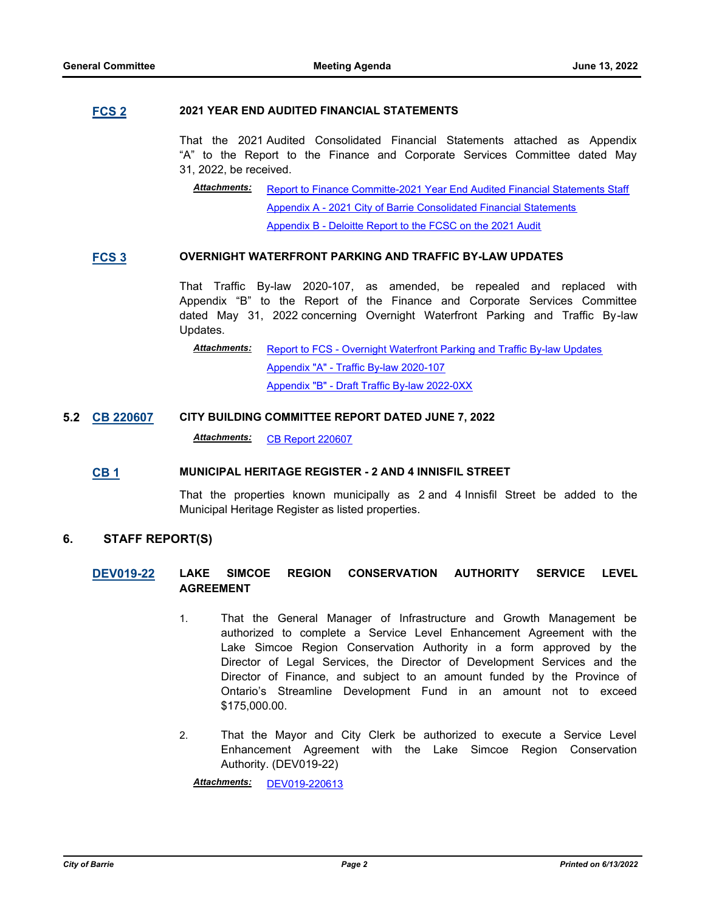#### **[FCS 2](http://barrie.ca.legistar.com/gateway.aspx?m=l&id=/matter.aspx?key=50719) 2021 YEAR END AUDITED FINANCIAL STATEMENTS**

That the 2021 Audited Consolidated Financial Statements attached as Appendix "A" to the Report to the Finance and Corporate Services Committee dated May 31, 2022, be received.

[Report to Finance Committe-2021 Year End Audited Financial Statements Staff](http://barrie.ca.legistar.com/gateway.aspx?M=F&ID=221c5817-7284-4326-a249-bb0197642508.pdf) [Appendix A - 2021 City of Barrie Consolidated Financial Statements](http://barrie.ca.legistar.com/gateway.aspx?M=F&ID=53aa1d1a-81b7-444a-8340-f824afc0d001.pdf) [Appendix B - Deloitte Report to the FCSC on the 2021 Audit](http://barrie.ca.legistar.com/gateway.aspx?M=F&ID=9ad605e9-009e-450b-b38a-143137a11d2b.pdf) *Attachments:*

### **[FCS 3](http://barrie.ca.legistar.com/gateway.aspx?m=l&id=/matter.aspx?key=50699) OVERNIGHT WATERFRONT PARKING AND TRAFFIC BY-LAW UPDATES**

That Traffic By-law 2020-107, as amended, be repealed and replaced with Appendix "B" to the Report of the Finance and Corporate Services Committee dated May 31, 2022 concerning Overnight Waterfront Parking and Traffic By-law Updates.

[Report to FCS - Overnight Waterfront Parking and Traffic By-law Updates](http://barrie.ca.legistar.com/gateway.aspx?M=F&ID=592dc740-8cc3-4405-b893-05af829d3a82.pdf) [Appendix "A" - Traffic By-law 2020-107](http://barrie.ca.legistar.com/gateway.aspx?M=F&ID=45f20c00-0ec8-4331-a4a5-7ca29b70a04d.pdf) [Appendix "B" - Draft Traffic By-law 2022-0XX](http://barrie.ca.legistar.com/gateway.aspx?M=F&ID=e9325f29-b7b6-4acb-a96d-672a8465916c.pdf) *Attachments:*

**5.2 [CB 220607](http://barrie.ca.legistar.com/gateway.aspx?m=l&id=/matter.aspx?key=50864) CITY BUILDING COMMITTEE REPORT DATED JUNE 7, 2022**

Attachments: [CB Report 220607](http://barrie.ca.legistar.com/gateway.aspx?M=F&ID=3386488a-88f0-40c1-ad40-c618669055e2.pdf)

#### **[CB 1](http://barrie.ca.legistar.com/gateway.aspx?m=l&id=/matter.aspx?key=50789) MUNICIPAL HERITAGE REGISTER - 2 AND 4 INNISFIL STREET**

That the properties known municipally as 2 and 4 Innisfil Street be added to the Municipal Heritage Register as listed properties.

#### **6. STAFF REPORT(S)**

## **[DEV019-22](http://barrie.ca.legistar.com/gateway.aspx?m=l&id=/matter.aspx?key=50838) LAKE SIMCOE REGION CONSERVATION AUTHORITY SERVICE LEVEL AGREEMENT**

- 1. That the General Manager of Infrastructure and Growth Management be authorized to complete a Service Level Enhancement Agreement with the Lake Simcoe Region Conservation Authority in a form approved by the Director of Legal Services, the Director of Development Services and the Director of Finance, and subject to an amount funded by the Province of Ontario's Streamline Development Fund in an amount not to exceed \$175,000.00.
- 2. That the Mayor and City Clerk be authorized to execute a Service Level Enhancement Agreement with the Lake Simcoe Region Conservation Authority. (DEV019-22)

*Attachments:* [DEV019-220613](http://barrie.ca.legistar.com/gateway.aspx?M=F&ID=2171644f-3fcc-46c9-a069-68d913bd7340.pdf)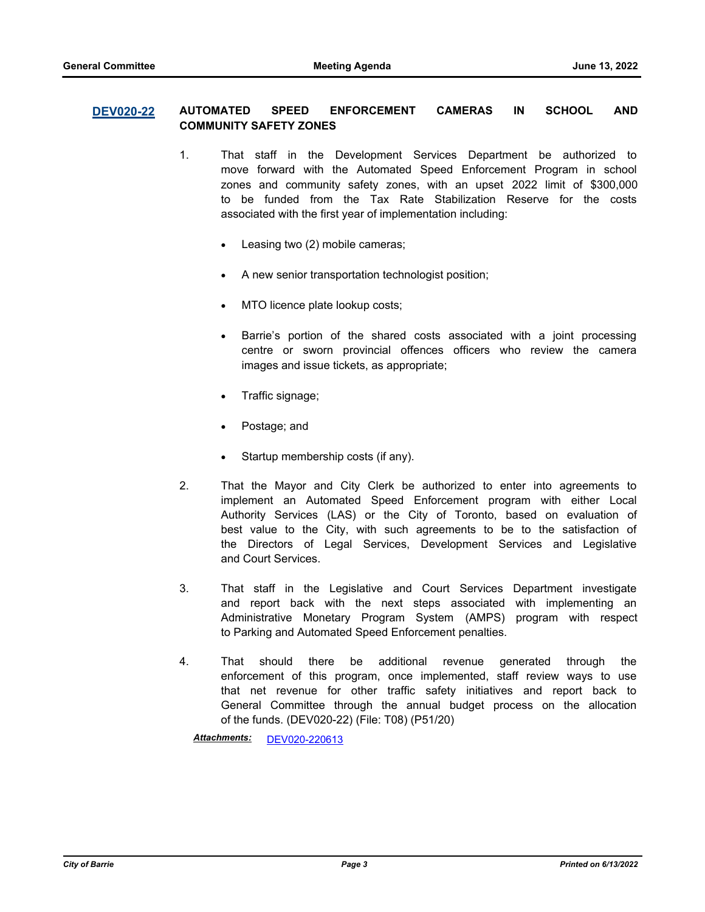#### **[DEV020-22](http://barrie.ca.legistar.com/gateway.aspx?m=l&id=/matter.aspx?key=50842) AUTOMATED SPEED ENFORCEMENT CAMERAS IN SCHOOL AND COMMUNITY SAFETY ZONES**

- 1. That staff in the Development Services Department be authorized to move forward with the Automated Speed Enforcement Program in school zones and community safety zones, with an upset 2022 limit of \$300,000 to be funded from the Tax Rate Stabilization Reserve for the costs associated with the first year of implementation including:
	- Leasing two (2) mobile cameras;
	- · A new senior transportation technologist position;
	- MTO licence plate lookup costs;
	- · Barrie's portion of the shared costs associated with a joint processing centre or sworn provincial offences officers who review the camera images and issue tickets, as appropriate;
	- · Traffic signage;
	- Postage; and
	- · Startup membership costs (if any).
- 2. That the Mayor and City Clerk be authorized to enter into agreements to implement an Automated Speed Enforcement program with either Local Authority Services (LAS) or the City of Toronto, based on evaluation of best value to the City, with such agreements to be to the satisfaction of the Directors of Legal Services, Development Services and Legislative and Court Services.
- 3. That staff in the Legislative and Court Services Department investigate and report back with the next steps associated with implementing an Administrative Monetary Program System (AMPS) program with respect to Parking and Automated Speed Enforcement penalties.
- 4. That should there be additional revenue generated through the enforcement of this program, once implemented, staff review ways to use that net revenue for other traffic safety initiatives and report back to General Committee through the annual budget process on the allocation of the funds. (DEV020-22) (File: T08) (P51/20)

*Attachments:* [DEV020-220613](http://barrie.ca.legistar.com/gateway.aspx?M=F&ID=a95c1a41-4d28-4b24-920b-c3dcf443e5ed.pdf)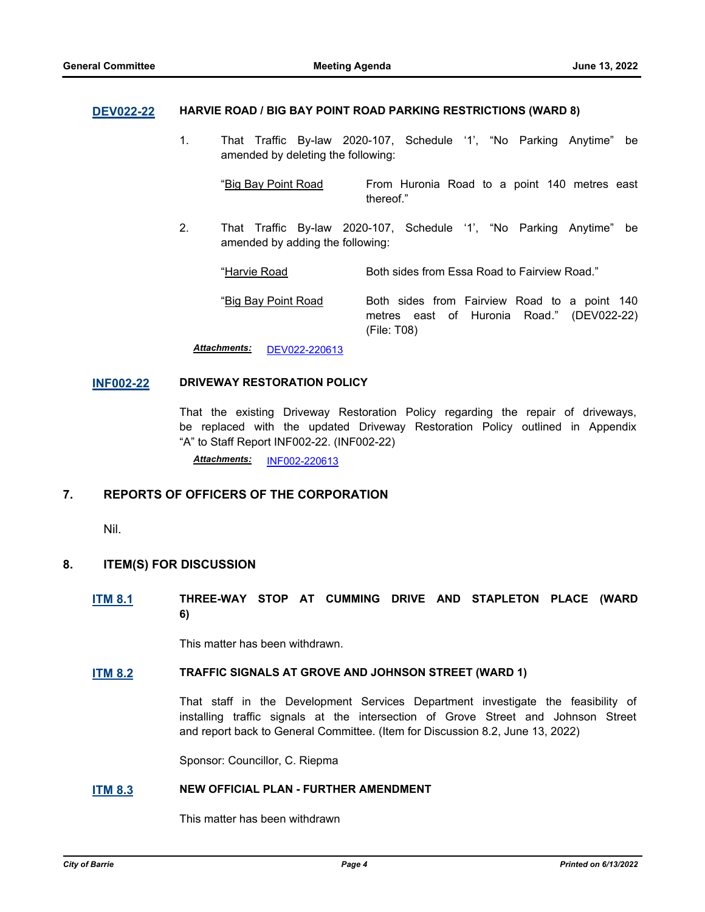#### **[DEV022-22](http://barrie.ca.legistar.com/gateway.aspx?m=l&id=/matter.aspx?key=50841) HARVIE ROAD / BIG BAY POINT ROAD PARKING RESTRICTIONS (WARD 8)**

1. That Traffic By-law 2020-107, Schedule '1', "No Parking Anytime" be amended by deleting the following:

"Big Bay Point Road From Huronia Road to a point 140 metres east thereof."

2. That Traffic By-law 2020-107, Schedule '1', "No Parking Anytime" be amended by adding the following:

"Harvie Road Both sides from Essa Road to Fairview Road."

"Big Bay Point Road Both sides from Fairview Road to a point 140 metres east of Huronia Road." (DEV022-22) (File: T08)

*Attachments:* [DEV022-220613](http://barrie.ca.legistar.com/gateway.aspx?M=F&ID=1c12570e-23d9-47fd-ac98-74130e831309.pdf)

#### **[INF002-22](http://barrie.ca.legistar.com/gateway.aspx?m=l&id=/matter.aspx?key=50810) DRIVEWAY RESTORATION POLICY**

That the existing Driveway Restoration Policy regarding the repair of driveways, be replaced with the updated Driveway Restoration Policy outlined in Appendix "A" to Staff Report INF002-22. (INF002-22)

*Attachments:* [INF002-220613](http://barrie.ca.legistar.com/gateway.aspx?M=F&ID=00aaebed-ba9d-4f7d-836f-700c743361e1.pdf)

## **7. REPORTS OF OFFICERS OF THE CORPORATION**

Nil.

#### **8. ITEM(S) FOR DISCUSSION**

### **[ITM 8.1](http://barrie.ca.legistar.com/gateway.aspx?m=l&id=/matter.aspx?key=50857) THREE-WAY STOP AT CUMMING DRIVE AND STAPLETON PLACE (WARD 6)**

This matter has been withdrawn.

#### **[ITM 8.2](http://barrie.ca.legistar.com/gateway.aspx?m=l&id=/matter.aspx?key=50859) TRAFFIC SIGNALS AT GROVE AND JOHNSON STREET (WARD 1)**

That staff in the Development Services Department investigate the feasibility of installing traffic signals at the intersection of Grove Street and Johnson Street and report back to General Committee. (Item for Discussion 8.2, June 13, 2022)

Sponsor: Councillor, C. Riepma

#### **[ITM 8.3](http://barrie.ca.legistar.com/gateway.aspx?m=l&id=/matter.aspx?key=50860) NEW OFFICIAL PLAN - FURTHER AMENDMENT**

This matter has been withdrawn